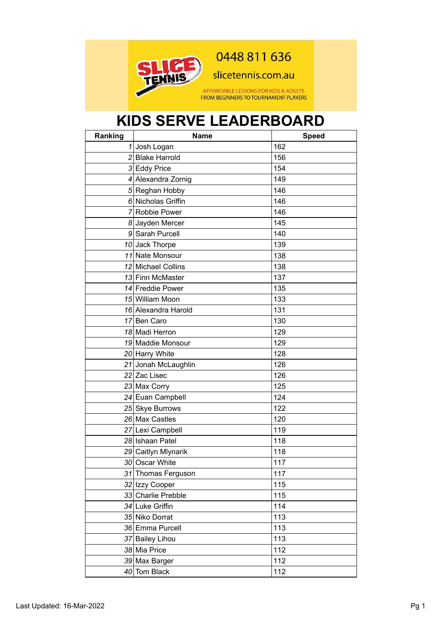

0448 811 636

slicetennis.com.au

AFFORDABLE LESSONS FOR KIDS & ADULTS<br>FROM BEGINNERS TO TOURNAMENT PLAYERS

## **KIDS SERVE LEADERBOARD**

| Ranking | <b>Name</b>         | <b>Speed</b> |
|---------|---------------------|--------------|
|         | 1 Josh Logan        | 162          |
|         | 2 Blake Harrold     | 156          |
|         | 3 Eddy Price        | 154          |
|         | 4 Alexandra Zornig  | 149          |
|         | 5 Reghan Hobby      | 146          |
|         | 6 Nicholas Griffin  | 146          |
|         | 7 Robbie Power      | 146          |
|         | 8 Jayden Mercer     | 145          |
|         | 9 Sarah Purcell     | 140          |
|         | 10 Jack Thorpe      | 139          |
|         | 11 Nate Monsour     | 138          |
|         | 12 Michael Collins  | 138          |
|         | 13 Finn McMaster    | 137          |
|         | 14 Freddie Power    | 135          |
|         | 15 William Moon     | 133          |
|         | 16 Alexandra Harold | 131          |
|         | 17 Ben Caro         | 130          |
|         | 18 Madi Herron      | 129          |
|         | 19 Maddie Monsour   | 129          |
|         | 20 Harry White      | 128          |
|         | 21 Jonah McLaughlin | 126          |
|         | 22 Zac Lisec        | 126          |
|         | 23 Max Corry        | 125          |
|         | 24 Euan Campbell    | 124          |
|         | 25 Skye Burrows     | 122          |
|         | 26 Max Castles      | 120          |
|         | 27 Lexi Campbell    | 119          |
|         | 28 Ishaan Patel     | 118          |
|         | 29 Caitlyn Mlynarik | 118          |
|         | 30 Oscar White      | 117          |
|         | 31 Thomas Ferguson  | 117          |
|         | 32 Izzy Cooper      | 115          |
|         | 33 Charlie Prebble  | 115          |
|         | 34 Luke Griffin     | 114          |
|         | 35 Niko Dorrat      | 113          |
|         | 36 Emma Purcell     | 113          |
|         | 37 Bailey Lihou     | 113          |
|         | 38 Mia Price        | 112          |
|         | 39 Max Barger       | 112          |
|         | 40 Tom Black        | 112          |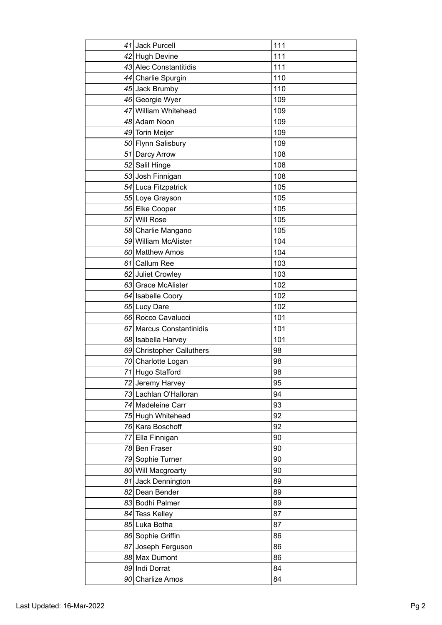| 41 Jack Purcell           | 111 |
|---------------------------|-----|
| 42 Hugh Devine            | 111 |
| 43 Alec Constantitidis    | 111 |
| 44 Charlie Spurgin        | 110 |
| 45 Jack Brumby            | 110 |
| 46 Georgie Wyer           | 109 |
| 47 William Whitehead      | 109 |
| 48 Adam Noon              | 109 |
| 49 Torin Meijer           | 109 |
| 50 Flynn Salisbury        | 109 |
| 51 Darcy Arrow            | 108 |
| 52 Salil Hinge            | 108 |
| 53 Josh Finnigan          | 108 |
| 54 Luca Fitzpatrick       | 105 |
| 55 Loye Grayson           | 105 |
| 56 Elke Cooper            | 105 |
| 57 Will Rose              | 105 |
| 58 Charlie Mangano        | 105 |
| 59 William McAlister      | 104 |
| 60 Matthew Amos           | 104 |
| 61 Callum Ree             | 103 |
| 62 Juliet Crowley         | 103 |
| 63 Grace McAlister        | 102 |
| 64 Isabelle Coory         | 102 |
| 65 Lucy Dare              | 102 |
| 66 Rocco Cavalucci        | 101 |
| 67 Marcus Constantinidis  | 101 |
| 68 Isabella Harvey        | 101 |
| 69 Christopher Calluthers | 98  |
| 70 Charlotte Logan        | 98  |
| 71 Hugo Stafford          | 98  |
| 72 Jeremy Harvey          | 95  |
| 73 Lachlan O'Halloran     | 94  |
| 74 Madeleine Carr         | 93  |
| 75 Hugh Whitehead         | 92  |
| 76 Kara Boschoff          | 92  |
| 77 Ella Finnigan          | 90  |
| 78 Ben Fraser             | 90  |
| 79 Sophie Turner          | 90  |
| 80 Will Macgroarty        | 90  |
| 81 Jack Dennington        | 89  |
| 82 Dean Bender            | 89  |
| 83 Bodhi Palmer           | 89  |
| 84 Tess Kelley            | 87  |
| 85 Luka Botha             | 87  |
| 86 Sophie Griffin         | 86  |
| 87 Joseph Ferguson        | 86  |
| 88 Max Dumont             | 86  |
| 89 Indi Dorrat            | 84  |
| 90 Charlize Amos          | 84  |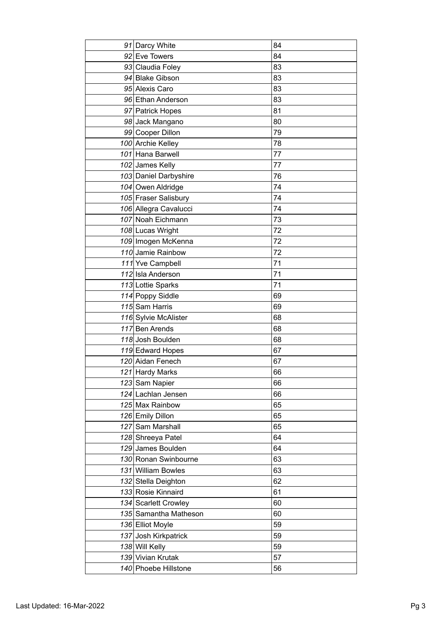| 91 Darcy White        | 84 |
|-----------------------|----|
| 92 Eve Towers         | 84 |
| 93 Claudia Foley      | 83 |
| 94 Blake Gibson       | 83 |
| 95 Alexis Caro        | 83 |
| 96 Ethan Anderson     | 83 |
| 97 Patrick Hopes      | 81 |
| 98 Jack Mangano       | 80 |
| 99 Cooper Dillon      | 79 |
| 100 Archie Kelley     | 78 |
| 101 Hana Barwell      | 77 |
| 102 James Kelly       | 77 |
| 103 Daniel Darbyshire | 76 |
| 104 Owen Aldridge     | 74 |
| 105 Fraser Salisbury  | 74 |
| 106 Allegra Cavalucci | 74 |
| 107 Noah Eichmann     | 73 |
| 108 Lucas Wright      | 72 |
| 109 Imogen McKenna    | 72 |
| 110 Jamie Rainbow     | 72 |
| 111 Yve Campbell      | 71 |
| 112 Isla Anderson     | 71 |
| 113 Lottie Sparks     | 71 |
| 114 Poppy Siddle      | 69 |
| 115 Sam Harris        | 69 |
| 116 Sylvie McAlister  | 68 |
| 117 Ben Arends        | 68 |
| 118 Josh Boulden      | 68 |
| 119 Edward Hopes      | 67 |
| 120 Aidan Fenech      | 67 |
| 121 Hardy Marks       | 66 |
| 123 Sam Napier        | 66 |
| 124 Lachlan Jensen    | 66 |
| 125 Max Rainbow       | 65 |
| 126 Emily Dillon      | 65 |
| 127 Sam Marshall      | 65 |
| 128 Shreeya Patel     | 64 |
| 129 James Boulden     | 64 |
| 130 Ronan Swinbourne  | 63 |
| 131 William Bowles    | 63 |
| 132 Stella Deighton   | 62 |
| 133 Rosie Kinnaird    | 61 |
| 134 Scarlett Crowley  | 60 |
| 135 Samantha Matheson | 60 |
| 136 Elliot Moyle      | 59 |
| 137 Josh Kirkpatrick  | 59 |
| 138 Will Kelly        | 59 |
| 139 Vivian Krutak     | 57 |
| 140 Phoebe Hillstone  | 56 |